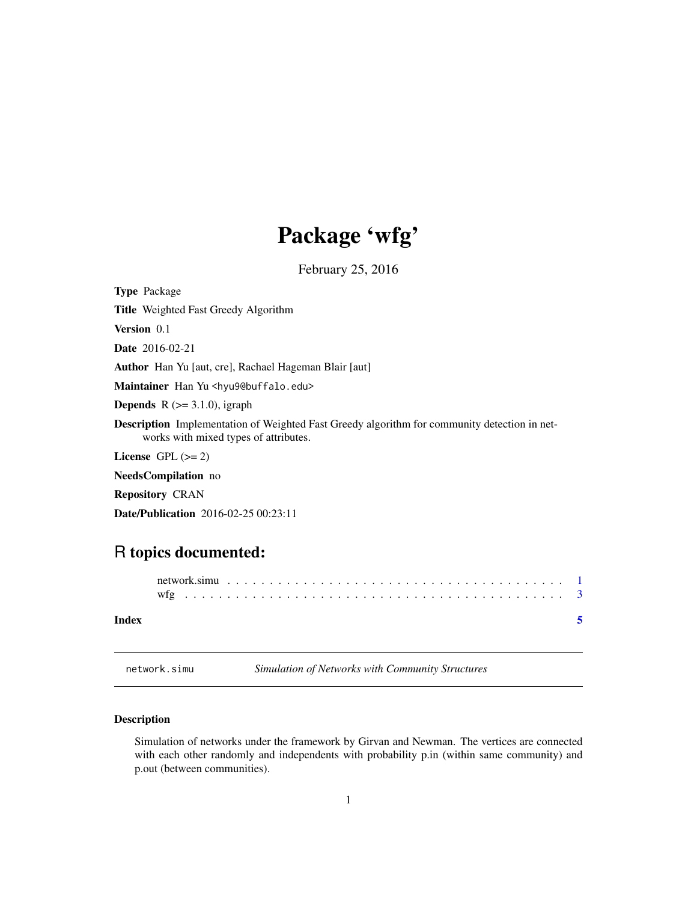## Package 'wfg'

February 25, 2016

<span id="page-0-0"></span>Type Package

Title Weighted Fast Greedy Algorithm

Version 0.1

Date 2016-02-21

Author Han Yu [aut, cre], Rachael Hageman Blair [aut]

Maintainer Han Yu <hyu9@buffalo.edu>

**Depends** R  $(>= 3.1.0)$ , igraph

Description Implementation of Weighted Fast Greedy algorithm for community detection in networks with mixed types of attributes.

License GPL  $(>= 2)$ 

NeedsCompilation no

Repository CRAN

Date/Publication 2016-02-25 00:23:11

### R topics documented:

| Index |  |  |  |  |  |  |  |  |  |  |  |  |  |  |  |  |  |  |  |
|-------|--|--|--|--|--|--|--|--|--|--|--|--|--|--|--|--|--|--|--|

network.simu *Simulation of Networks with Community Structures*

#### Description

Simulation of networks under the framework by Girvan and Newman. The vertices are connected with each other randomly and independents with probability p.in (within same community) and p.out (between communities).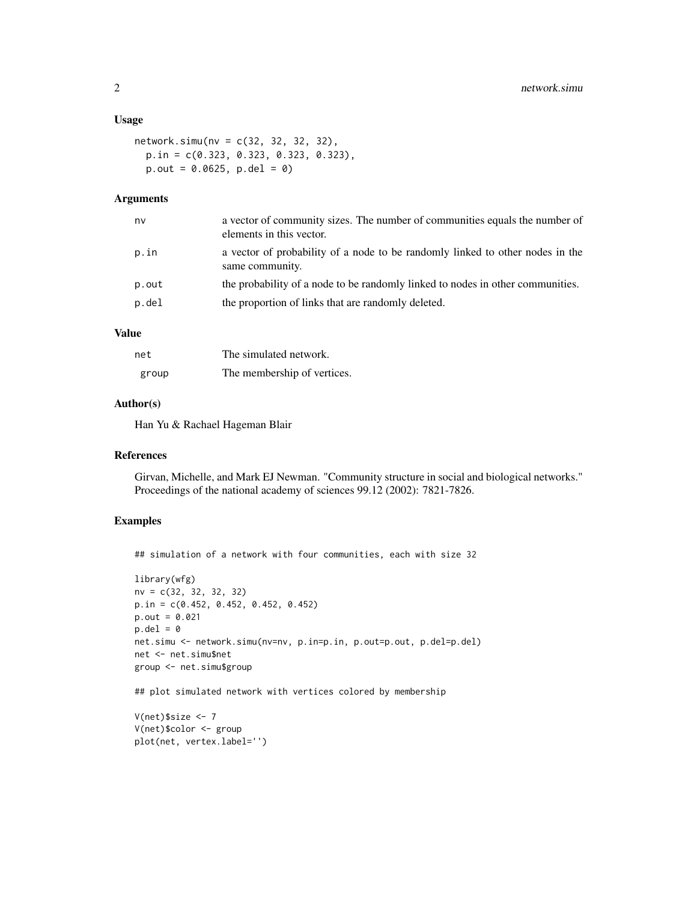#### Usage

```
network.simu(nv = c(32, 32, 32, 32),
 p.in = c(0.323, 0.323, 0.323, 0.323),
 p.out = 0.0625, p.de1 = 0
```
#### Arguments

| nv    | a vector of community sizes. The number of communities equals the number of<br>elements in this vector. |
|-------|---------------------------------------------------------------------------------------------------------|
| p.in  | a vector of probability of a node to be randomly linked to other nodes in the<br>same community.        |
| p.out | the probability of a node to be randomly linked to nodes in other communities.                          |
| p.del | the proportion of links that are randomly deleted.                                                      |
|       |                                                                                                         |

#### Value

| net   | The simulated network.      |
|-------|-----------------------------|
| group | The membership of vertices. |

#### Author(s)

Han Yu & Rachael Hageman Blair

#### References

Girvan, Michelle, and Mark EJ Newman. "Community structure in social and biological networks." Proceedings of the national academy of sciences 99.12 (2002): 7821-7826.

#### Examples

```
## simulation of a network with four communities, each with size 32
library(wfg)
nv = c(32, 32, 32, 32)
p.in = c(0.452, 0.452, 0.452, 0.452)
p.out = 0.021p.de1 = 0net.simu <- network.simu(nv=nv, p.in=p.in, p.out=p.out, p.del=p.del)
net <- net.simu$net
group <- net.simu$group
```
## plot simulated network with vertices colored by membership

```
V(net)$size <- 7
V(net)$color <- group
plot(net, vertex.label='')
```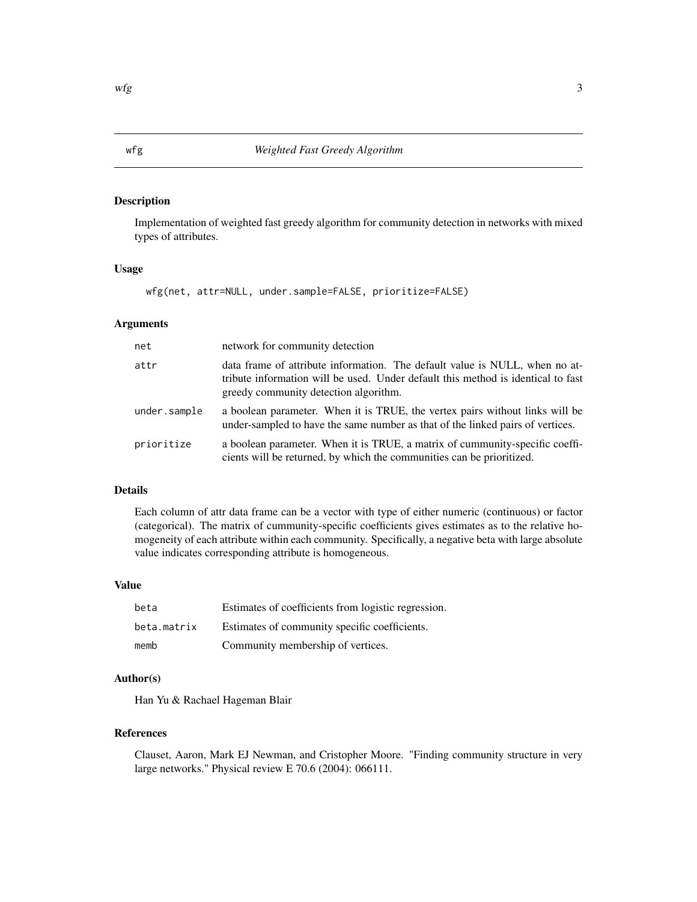#### **Description**

Implementation of weighted fast greedy algorithm for community detection in networks with mixed types of attributes.

#### Usage

wfg(net, attr=NULL, under.sample=FALSE, prioritize=FALSE)

#### Arguments

| net          | network for community detection                                                                                                                                                                          |
|--------------|----------------------------------------------------------------------------------------------------------------------------------------------------------------------------------------------------------|
| attr         | data frame of attribute information. The default value is NULL, when no at-<br>tribute information will be used. Under default this method is identical to fast<br>greedy community detection algorithm. |
| under.sample | a boolean parameter. When it is TRUE, the vertex pairs without links will be<br>under-sampled to have the same number as that of the linked pairs of vertices.                                           |
| prioritize   | a boolean parameter. When it is TRUE, a matrix of cummunity-specific coeffi-<br>cients will be returned, by which the communities can be prioritized.                                                    |

#### Details

Each column of attr data frame can be a vector with type of either numeric (continuous) or factor (categorical). The matrix of cummunity-specific coefficients gives estimates as to the relative homogeneity of each attribute within each community. Specifically, a negative beta with large absolute value indicates corresponding attribute is homogeneous.

#### Value

| beta        | Estimates of coefficients from logistic regression. |
|-------------|-----------------------------------------------------|
| beta.matrix | Estimates of community specific coefficients.       |
| memb        | Community membership of vertices.                   |

#### Author(s)

Han Yu & Rachael Hageman Blair

#### References

Clauset, Aaron, Mark EJ Newman, and Cristopher Moore. "Finding community structure in very large networks." Physical review E 70.6 (2004): 066111.

<span id="page-2-0"></span>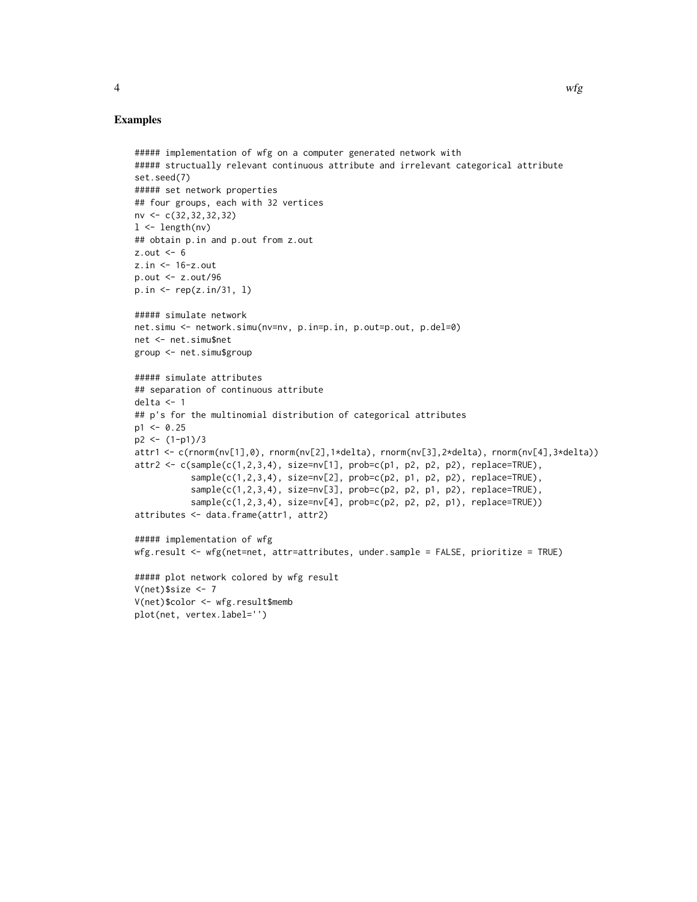#### Examples

```
##### implementation of wfg on a computer generated network with
##### structually relevant continuous attribute and irrelevant categorical attribute
set.seed(7)
##### set network properties
## four groups, each with 32 vertices
nv <- c(32,32,32,32)
1 \leftarrow length(nv)
## obtain p.in and p.out from z.out
z.out < -6z.in <- 16-z.out
p.out <- z.out/96
p.in <- rep(z.in/31, l)
##### simulate network
net.simu <- network.simu(nv=nv, p.in=p.in, p.out=p.out, p.del=0)
net <- net.simu$net
group <- net.simu$group
##### simulate attributes
## separation of continuous attribute
delta <- 1
## p's for the multinomial distribution of categorical attributes
p1 < -0.25p2 \le -(1-p1)/3attr1 <- c(rnorm(nv[1],0), rnorm(nv[2],1*delta), rnorm(nv[3],2*delta), rnorm(nv[4],3*delta))
attr2 <- c(sample(c(1,2,3,4), size=nv[1], prob=c(p1, p2, p2, p2), replace=TRUE),
           sample(c(1,2,3,4), size=nv[2], prob=c(p2, p1, p2, p2), replace=TRUE),sample(c(1,2,3,4), size=nv[3], prob=c(p2, p2, p1, p2), replace=TRUE),
           sample(c(1,2,3,4), size=nv[4], prob=c(p2, p2, p2, p1), replace=TRUE))
attributes <- data.frame(attr1, attr2)
##### implementation of wfg
wfg.result <- wfg(net=net, attr=attributes, under.sample = FALSE, prioritize = TRUE)
##### plot network colored by wfg result
V(net)$size <- 7
V(net)$color <- wfg.result$memb
plot(net, vertex.label='')
```